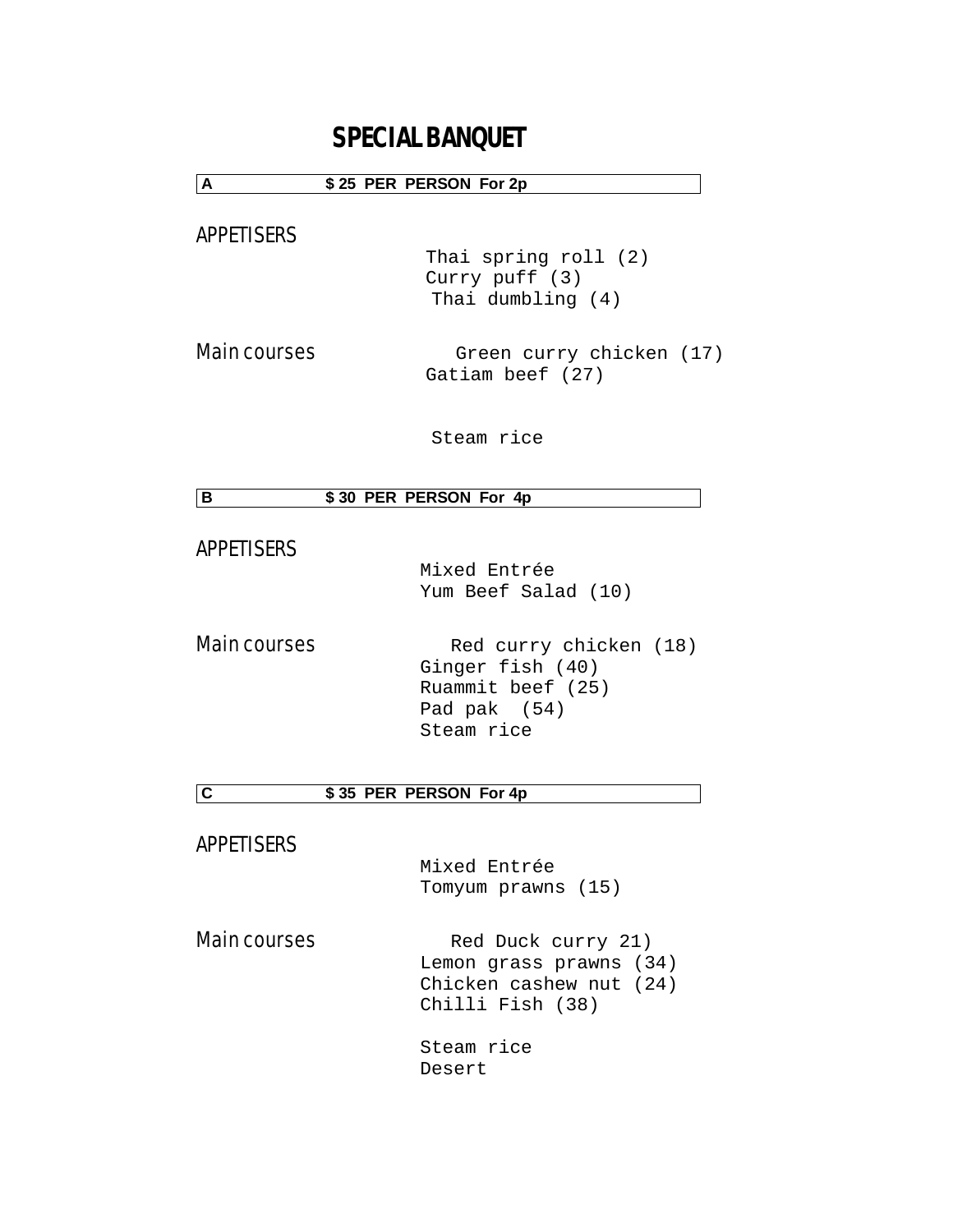# **SPECIAL BANQUET**

### **A \$ 25 PER PERSON For 2p**

APPETISERS

 Thai spring roll (2) Curry puff (3) Thai dumbling (4)

Main courses **being country chicken** (17) Gatiam beef (27)

Steam rice

### **B \$ 30 PER PERSON For 4p**

### APPETISERS

 Mixed Entrée Yum Beef Salad (10)

Main courses Red curry chicken (18) Ginger fish (40) Ruammit beef (25) Pad pak (54) Steam rice

**C \$ 35 PER PERSON For 4p**

APPETISERS

 Mixed Entrée Tomyum prawns (15)

Main courses Red Duck curry 21) Lemon grass prawns (34) Chicken cashew nut (24) Chilli Fish (38)

> Steam rice Desert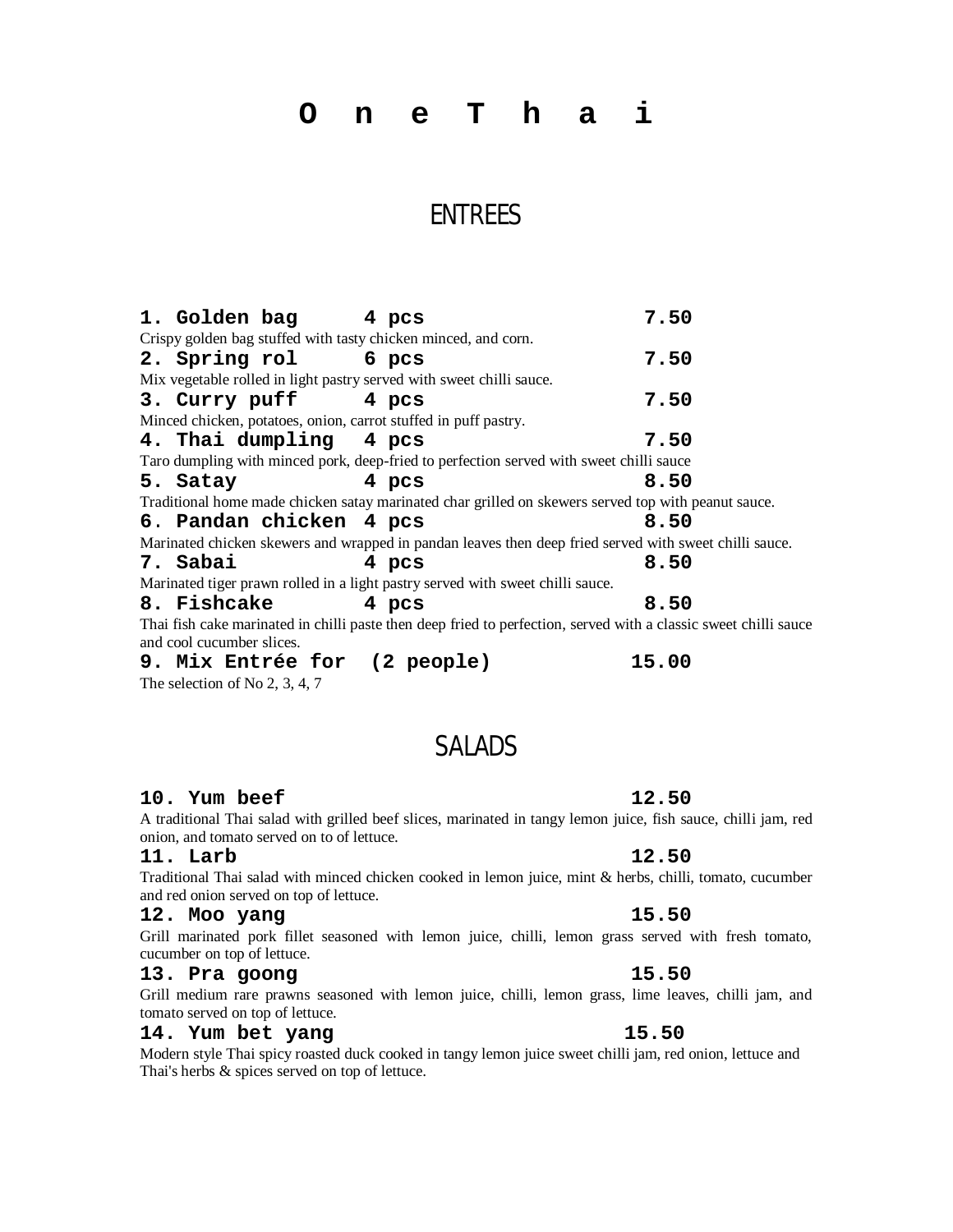**O n e T h a i**

## ENTREES

**1. Golden bag 4 pcs 7.50** Crispy golden bag stuffed with tasty chicken minced, and corn. **2. Spring rol 6 pcs 7.50** Mix vegetable rolled in light pastry served with sweet chilli sauce. **3. Curry puff 4 pcs 7.50** Minced chicken, potatoes, onion, carrot stuffed in puff pastry. **4. Thai dumpling 4 pcs 7.50** Taro dumpling with minced pork, deep-fried to perfection served with sweet chilli sauce **5. Satay 4 pcs 8.50** Traditional home made chicken satay marinated char grilled on skewers served top with peanut sauce. **6**. **Pandan chicken 4 pcs 8.50** Marinated chicken skewers and wrapped in pandan leaves then deep fried served with sweet chilli sauce. **7. Sabai 4 pcs 8.50** Marinated tiger prawn rolled in a light pastry served with sweet chilli sauce. **8. Fishcake 4 pcs 8.50** Thai fish cake marinated in chilli paste then deep fried to perfection, served with a classic sweet chilli sauce and cool cucumber slices. **9. Mix Entrée for (2 people) 15.00**

The selection of No 2, 3, 4, 7

## SALADS

### **10. Yum beef 12.50**

A traditional Thai salad with grilled beef slices, marinated in tangy lemon juice, fish sauce, chilli jam, red onion, and tomato served on to of lettuce.

### **11. Larb 12.50**

Traditional Thai salad with minced chicken cooked in lemon juice, mint & herbs, chilli, tomato, cucumber and red onion served on top of lettuce.

#### **12. Moo yang 15.50**

Grill marinated pork fillet seasoned with lemon juice, chilli, lemon grass served with fresh tomato, cucumber on top of lettuce.

### **13. Pra goong 15.50**

Grill medium rare prawns seasoned with lemon juice, chilli, lemon grass, lime leaves, chilli jam, and tomato served on top of lettuce.

### **14. Yum bet yang 15.50**

Modern style Thai spicy roasted duck cooked in tangy lemon juice sweet chilli jam, red onion, lettuce and Thai's herbs & spices served on top of lettuce.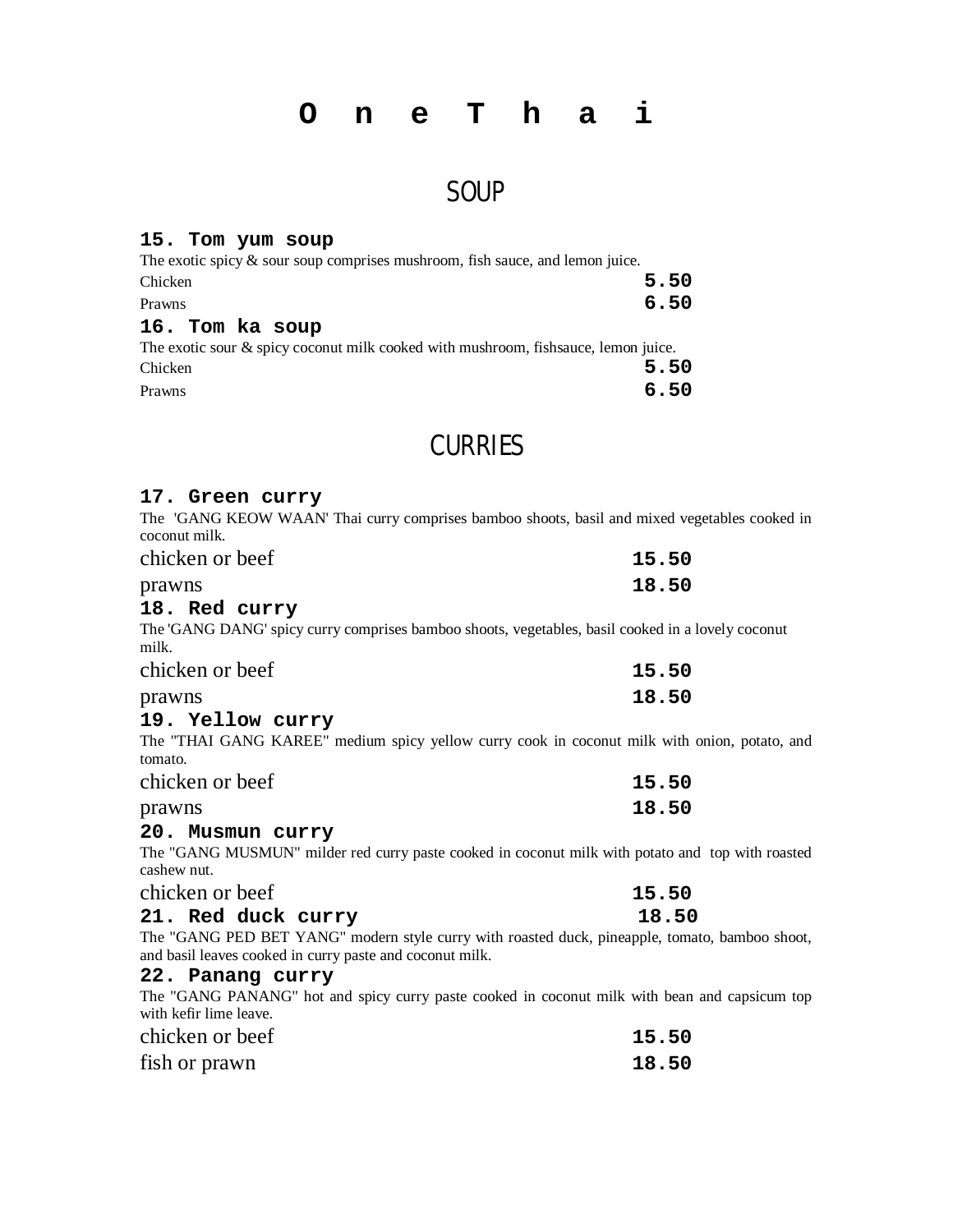## **O n e T h a i**

## **SOUP**

### **15. Tom yum soup**

| The exotic spicy $\&$ sour soup comprises mushroom, fish sauce, and lemon juice.       |      |
|----------------------------------------------------------------------------------------|------|
| Chicken                                                                                | 5.50 |
| Prawns                                                                                 | 6.50 |
| 16. Tom ka soup                                                                        |      |
| The exotic sour $\&$ spicy coconut milk cooked with mushroom, fishs auce, lemon juice. |      |
| Chicken                                                                                | 5.50 |
| Prawns                                                                                 | 6.50 |

## **CURRIES**

### **17. Green curry**

The 'GANG KEOW WAAN' Thai curry comprises bamboo shoots, basil and mixed vegetables cooked in coconut milk.

| chicken or beef | 15.50 |
|-----------------|-------|
| prawns          | 18.50 |

### **18. Red curry**

The 'GANG DANG' spicy curry comprises bamboo shoots, vegetables, basil cooked in a lovely coconut milk.

| chicken or beef | 15.50 |
|-----------------|-------|
| prawns          | 18.50 |

### **19. Yellow curry**

The "THAI GANG KAREE" medium spicy yellow curry cook in coconut milk with onion, potato, and tomato.

| chicken or beef | 15.50 |
|-----------------|-------|
| prawns          | 18.50 |

### **20. Musmun curry**

The "GANG MUSMUN" milder red curry paste cooked in coconut milk with potato and top with roasted cashew nut.

| chicken or beef |                    | 15.50 |  |
|-----------------|--------------------|-------|--|
|                 | 21. Red duck curry | 18.50 |  |

The "GANG PED BET YANG" modern style curry with roasted duck, pineapple, tomato, bamboo shoot, and basil leaves cooked in curry paste and coconut milk.

### **22. Panang curry**

The "GANG PANANG" hot and spicy curry paste cooked in coconut milk with bean and capsicum top with kefir lime leave.

| chicken or beef | 15.50 |
|-----------------|-------|
| fish or prawn   | 18.50 |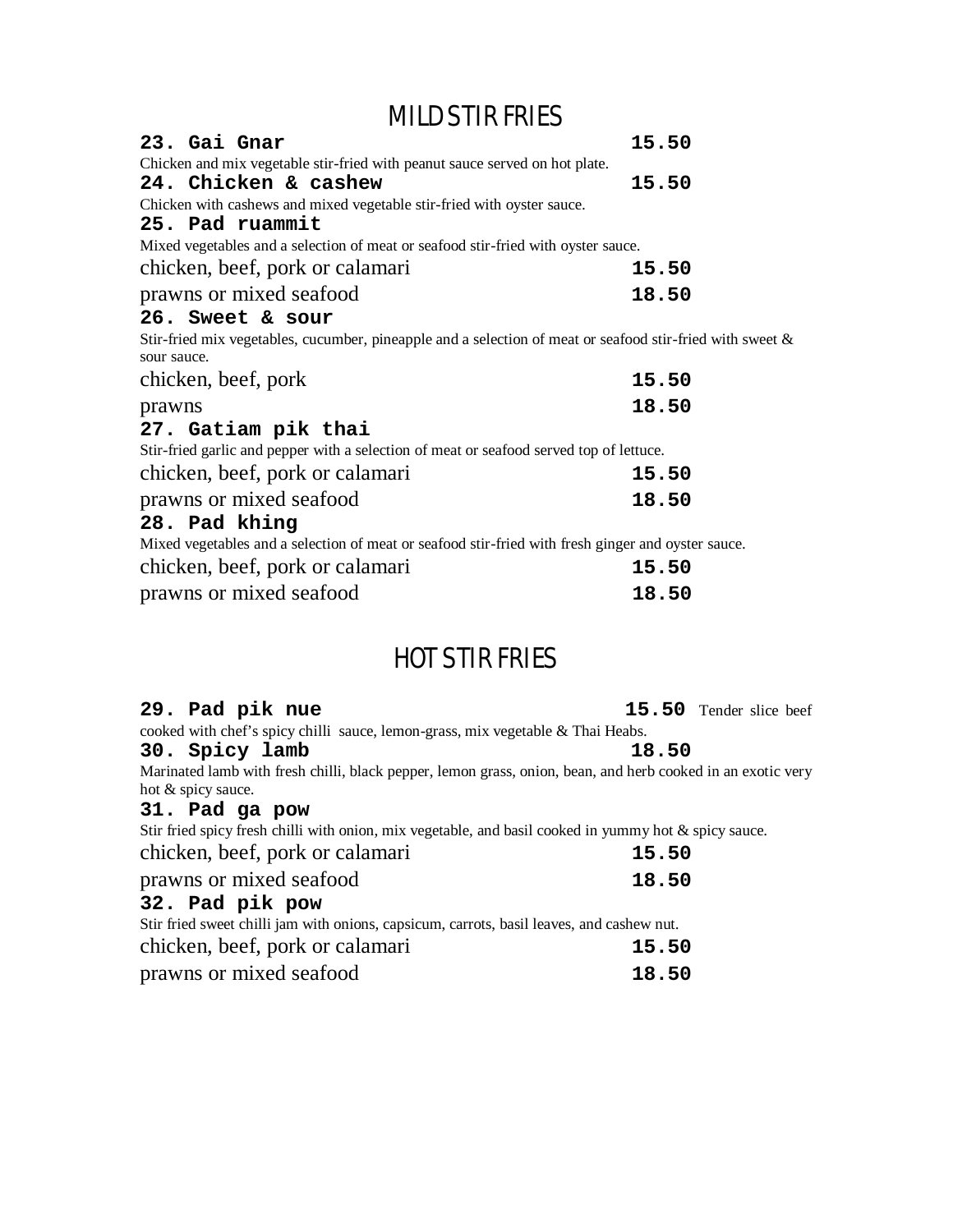# MILD STIR FRIES

| 23. Gai Gnar<br>Chicken and mix vegetable stir-fried with peanut sauce served on hot plate.                                 | 15.50 |
|-----------------------------------------------------------------------------------------------------------------------------|-------|
| 24. Chicken & cashew                                                                                                        | 15.50 |
| Chicken with cashews and mixed vegetable stir-fried with oyster sauce.                                                      |       |
| 25. Pad ruammit                                                                                                             |       |
| Mixed vegetables and a selection of meat or seafood stir-fried with oyster sauce.                                           |       |
| chicken, beef, pork or calamari                                                                                             | 15.50 |
| prawns or mixed seafood                                                                                                     | 18.50 |
| 26. Sweet & sour                                                                                                            |       |
| Stir-fried mix vegetables, cucumber, pineapple and a selection of meat or seafood stir-fried with sweet $\&$<br>sour sauce. |       |
| chicken, beef, pork                                                                                                         | 15.50 |
| prawns                                                                                                                      | 18.50 |
| 27. Gatiam pik thai                                                                                                         |       |
| Stir-fried garlic and pepper with a selection of meat or seafood served top of lettuce.                                     |       |
| chicken, beef, pork or calamari                                                                                             | 15.50 |
| prawns or mixed seafood                                                                                                     | 18.50 |
| 28. Pad khing                                                                                                               |       |
| Mixed vegetables and a selection of meat or seafood stir-fried with fresh ginger and oyster sauce.                          |       |
| chicken, beef, pork or calamari                                                                                             | 15.50 |
| prawns or mixed seafood                                                                                                     | 18.50 |

# HOT STIR FRIES

| 29. Pad pik nue                                                                                             | <b>15.50</b> Tender slice beef |  |  |  |
|-------------------------------------------------------------------------------------------------------------|--------------------------------|--|--|--|
| cooked with chef's spicy chilli sauce, lemon-grass, mix vegetable $\&$ Thai Heabs.                          |                                |  |  |  |
| 30. Spicy lamb                                                                                              | 18.50                          |  |  |  |
| Marinated lamb with fresh chilli, black pepper, lemon grass, onion, bean, and herb cooked in an exotic very |                                |  |  |  |
| hot & spicy sauce.                                                                                          |                                |  |  |  |
| 31. Pad ga pow                                                                                              |                                |  |  |  |
| Stir fried spicy fresh chilli with onion, mix vegetable, and basil cooked in yummy hot & spicy sauce.       |                                |  |  |  |
| chicken, beef, pork or calamari                                                                             | 15.50                          |  |  |  |
| prawns or mixed seafood                                                                                     | 18.50                          |  |  |  |
| 32. Pad pik pow                                                                                             |                                |  |  |  |
| Stir fried sweet chilli jam with onions, capsicum, carrots, basil leaves, and cashew nut.                   |                                |  |  |  |
| chicken, beef, pork or calamari                                                                             | 15.50                          |  |  |  |
| prawns or mixed seafood                                                                                     | 18.50                          |  |  |  |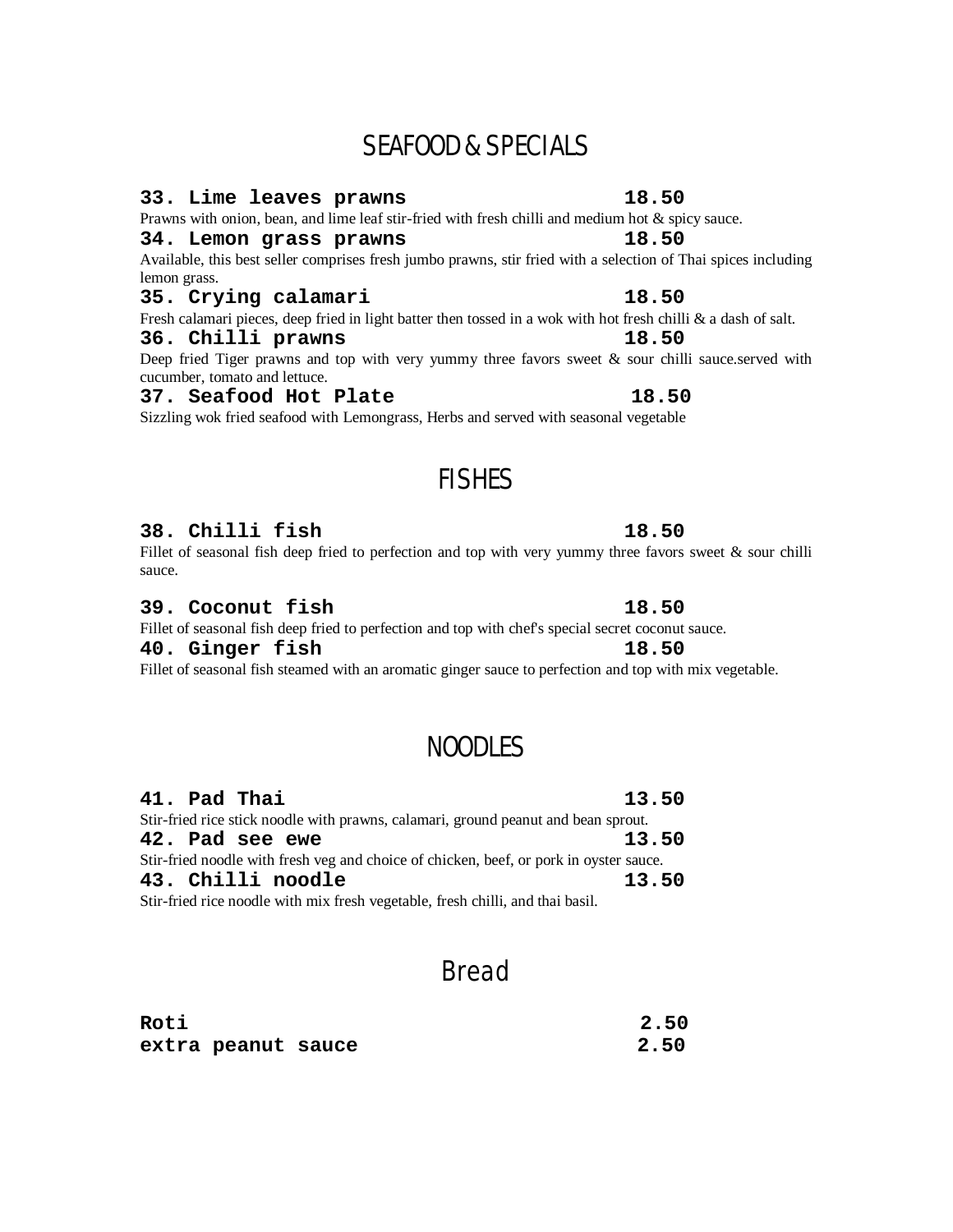# SEAFOOD & SPECIALS

### **33. Lime leaves prawns 18.50**

Prawns with onion, bean, and lime leaf stir-fried with fresh chilli and medium hot & spicy sauce.

### **34. Lemon grass prawns 18.50**

Available, this best seller comprises fresh jumbo prawns, stir fried with a selection of Thai spices including lemon grass.

### **35. Crying calamari 18.50**

Fresh calamari pieces, deep fried in light batter then tossed in a wok with hot fresh chilli & a dash of salt.

### **36. Chilli prawns 18.50**

Deep fried Tiger prawns and top with very yummy three favors sweet  $\&$  sour chilli sauce.served with cucumber, tomato and lettuce.

### **37. Seafood Hot Plate 18.50**

Sizzling wok fried seafood with Lemongrass, Herbs and served with seasonal vegetable

# FISHES

### **38. Chilli fish 18.50**

Fillet of seasonal fish deep fried to perfection and top with very yummy three favors sweet  $\&$  sour chilli sauce.

### **39. Coconut fish 18.50**

### Fillet of seasonal fish deep fried to perfection and top with chef's special secret coconut sauce. **40. Ginger fish 18.50**

Fillet of seasonal fish steamed with an aromatic ginger sauce to perfection and top with mix vegetable.

## NOODLES

| 41. Pad Thai                                                                           | 13.50 |
|----------------------------------------------------------------------------------------|-------|
| Stir-fried rice stick noodle with prawns, calamari, ground peanut and bean sprout.     |       |
| 42. Pad see ewe                                                                        | 13.50 |
| Stir-fried noodle with fresh veg and choice of chicken, beef, or pork in oyster sauce. |       |
| 43. Chilli noodle                                                                      | 13.50 |
| Stir-fried rice noodle with mix fresh vegetable, fresh chilli, and thai basil.         |       |

## Bread

| Roti |                    | 2.50 |
|------|--------------------|------|
|      | extra peanut sauce | 2.50 |